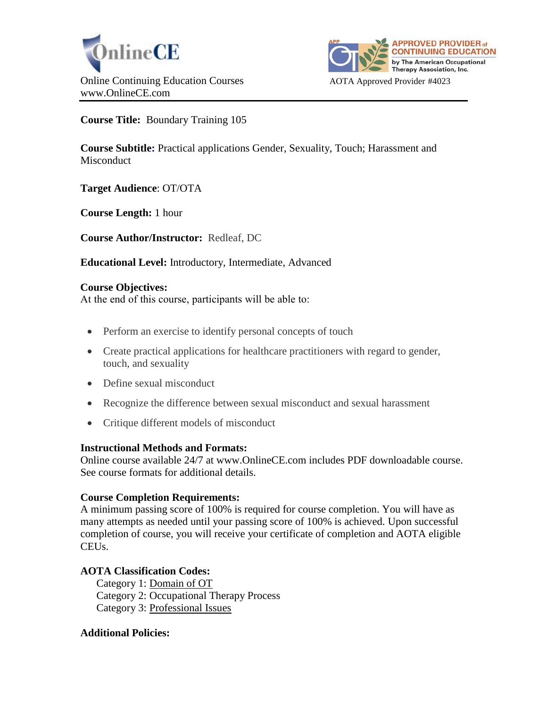



**Course Title:** Boundary Training 105

**Course Subtitle:** Practical applications Gender, Sexuality, Touch; Harassment and **Misconduct** 

**Target Audience**: OT/OTA

**Course Length:** 1 hour

**Course Author/Instructor:** Redleaf, DC

**Educational Level:** Introductory, Intermediate, Advanced

## **Course Objectives:**

At the end of this course, participants will be able to:

- Perform an exercise to identify personal concepts of touch
- Create practical applications for healthcare practitioners with regard to gender, touch, and sexuality
- Define sexual misconduct
- Recognize the difference between sexual misconduct and sexual harassment
- Critique different models of misconduct

# **Instructional Methods and Formats:**

Online course available 24/7 at www.OnlineCE.com includes PDF downloadable course. See course formats for additional details.

# **Course Completion Requirements:**

A minimum passing score of 100% is required for course completion. You will have as many attempts as needed until your passing score of 100% is achieved. Upon successful completion of course, you will receive your certificate of completion and AOTA eligible CEUs.

# **AOTA Classification Codes:**

Category 1: Domain of OT Category 2: Occupational Therapy Process Category 3: Professional Issues

## **Additional Policies:**